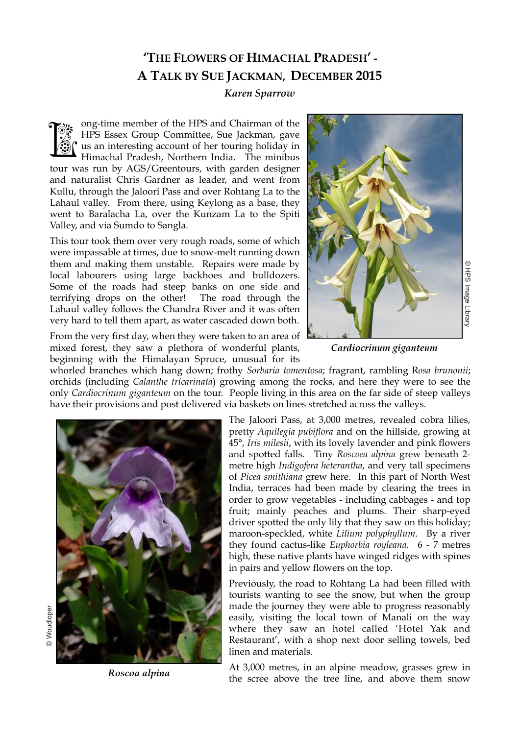## **'THE FLOWERS OF HIMACHAL PRADESH' - A TALK BY SUE JACKMAN, DECEMBER 2015**

## *Karen Sparrow*

ong-time member of the HPS and Chairman of the HPS Essex Group Committee, Sue Jackman, gave us an interesting account of her touring holiday in Himachal Pradesh, Northern India. The minibus tour was run by AGS/Greentours, with garden designer and naturalist Chris Gardner as leader, and went from Kullu, through the Jaloori Pass and over Rohtang La to the Lahaul valley. From there, using Keylong as a base, they went to Baralacha La, over the Kunzam La to the Spiti Valley, and via Sumdo to Sangla. **TARK** 

This tour took them over very rough roads, some of which were impassable at times, due to snow-melt running down them and making them unstable. Repairs were made by local labourers using large backhoes and bulldozers. Some of the roads had steep banks on one side and terrifying drops on the other! The road through the Lahaul valley follows the Chandra River and it was often very hard to tell them apart, as water cascaded down both.

From the very first day, when they were taken to an area of mixed forest, they saw a plethora of wonderful plants, beginning with the Himalayan Spruce, unusual for its



*Cardiocrinum giganteum*

whorled branches which hang down; frothy *Sorbaria tomentosa*; fragrant, rambling R*osa brunonii*; orchids (including *Calanthe tricarinata*) growing among the rocks, and here they were to see the only *Cardiocrinum giganteum* on the tour. People living in this area on the far side of steep valleys have their provisions and post delivered via baskets on lines stretched across the valleys.



*Roscoa alpina*

The Jaloori Pass, at 3,000 metres, revealed cobra lilies, pretty *Aquilegia pubiflora* and on the hillside, growing at 45°, *Iris milesii*, with its lovely lavender and pink flowers and spotted falls. Tiny *Roscoea alpina* grew beneath 2 metre high *Indigofera heterantha*, and very tall specimens of *Picea smithiana* grew here. In this part of North West India, terraces had been made by clearing the trees in order to grow vegetables - including cabbages - and top fruit; mainly peaches and plums. Their sharp-eyed driver spotted the only lily that they saw on this holiday; maroon-speckled, white *Lilium polyphyllum*. By a river they found cactus-like *Euphorbia royleana*. 6 - 7 metres high, these native plants have winged ridges with spines in pairs and yellow flowers on the top. So were made by<br>and bulldozers<br>and through the<br>and divas often<br>and it was often<br>and it was often<br>the dural of its<br>dard down both.<br>It unusual for its<br>dural of its<br>dural of its<br>dural of its<br>dural of its<br>previve Aquilegian pu

Previously, the road to Rohtang La had been filled with tourists wanting to see the snow, but when the group made the journey they were able to progress reasonably easily, visiting the local town of Manali on the way where they saw an hotel called 'Hotel Yak and Restaurant', with a shop next door selling towels, bed linen and materials.

At 3,000 metres, in an alpine meadow, grasses grew in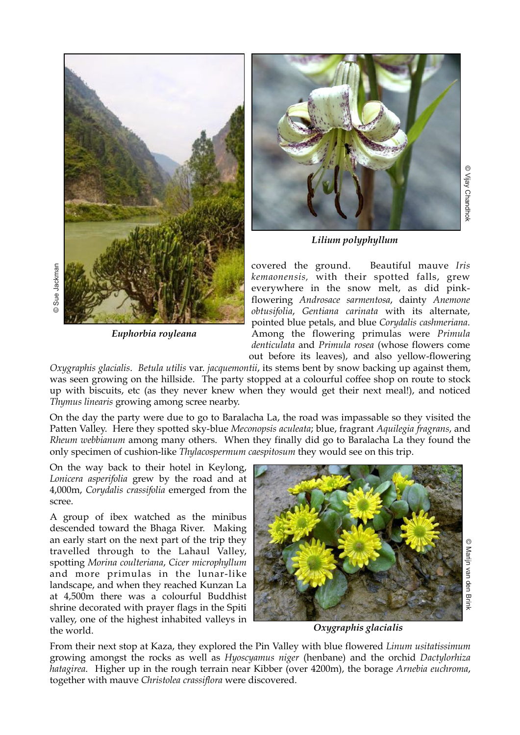

*Euphorbia royleana*

© Sue Jackman



*Lilium polyphyllum*

covered the ground. Beautiful mauve *Iris kemaonensis,* with their spotted falls, grew everywhere in the snow melt, as did pinkflowering *Androsace sarmentosa*, dainty *Anemone obtusifolia*, *Gentiana carinata* with its alternate, pointed blue petals, and blue *Corydalis cashmeriana*. Among the flowering primulas were *Primula denticulata* and *Primula rosea* (whose flowers come out before its leaves), and also yellow-flowering

*Oxygraphis glacialis*. *Betula utilis* var. *jacquemontii*, its stems bent by snow backing up against them, was seen growing on the hillside. The party stopped at a colourful coffee shop on route to stock up with biscuits, etc (as they never knew when they would get their next meal!), and noticed *Thymus linearis* growing among scree nearby.

On the day the party were due to go to Baralacha La, the road was impassable so they visited the Patten Valley. Here they spotted sky-blue *Meconopsis aculeata*; blue, fragrant *Aquilegia fragrans*, and *Rheum webbianum* among many others. When they finally did go to Baralacha La they found the only specimen of cushion-like *Thylacospermum caespitosum* they would see on this trip.

On the way back to their hotel in Keylong, *Lonicera asperifolia* grew by the road and at 4,000m, *Corydalis crassifolia* emerged from the scree.

A group of ibex watched as the minibus descended toward the Bhaga River. Making an early start on the next part of the trip they travelled through to the Lahaul Valley, spotting *Morina coulteriana*, *Cicer microphyllum* and more primulas in the lunar-like landscape, and when they reached Kunzan La at 4,500m there was a colourful Buddhist shrine decorated with prayer flags in the Spiti valley, one of the highest inhabited valleys in the world.



*Oxygraphis glacialis*

From their next stop at Kaza, they explored the Pin Valley with blue flowered *Linum usitatissimum* growing amongst the rocks as well as *Hyoscyamus niger* (henbane) and the orchid *Dactylorhiza hatagirea*. Higher up in the rough terrain near Kibber (over 4200m), the borage *Arnebia euchroma*, together with mauve *Christolea crassiflora* were discovered.

 © Vijay Chandhok C Vijay Chandhok

> © Marijn van den BrinkMarijn van den Brink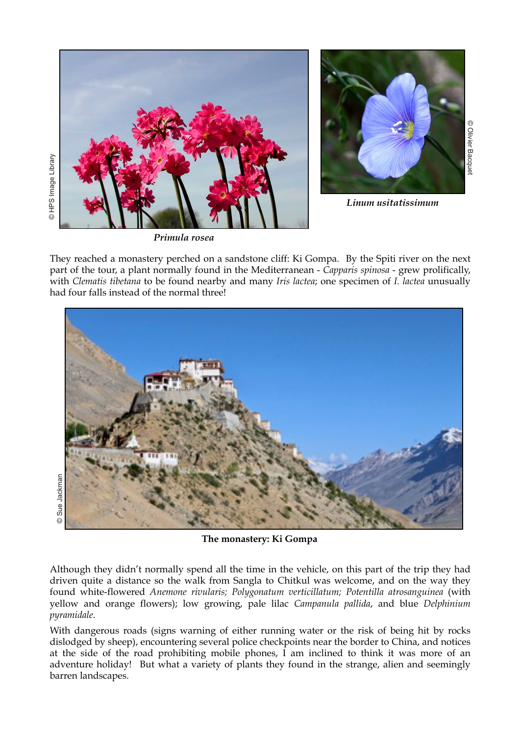



*Linum usitatissimum*

*Primula rosea*

They reached a monastery perched on a sandstone cliff: Ki Gompa. By the Spiti river on the next part of the tour, a plant normally found in the Mediterranean - *Capparis spinosa* - grew prolifically, with *Clematis tibetana* to be found nearby and many *Iris lactea*; one specimen of *I. lactea* unusually had four falls instead of the normal three!



**The monastery: Ki Gompa**

Although they didn't normally spend all the time in the vehicle, on this part of the trip they had driven quite a distance so the walk from Sangla to Chitkul was welcome, and on the way they found white-flowered *Anemone rivularis; Polygonatum verticillatum; Potentilla atrosanguinea* (with yellow and orange flowers); low growing, pale lilac *Campanula pallida*, and blue *Delphinium pyramidale*.

With dangerous roads (signs warning of either running water or the risk of being hit by rocks dislodged by sheep), encountering several police checkpoints near the border to China, and notices at the side of the road prohibiting mobile phones, I am inclined to think it was more of an adventure holiday! But what a variety of plants they found in the strange, alien and seemingly barren landscapes.